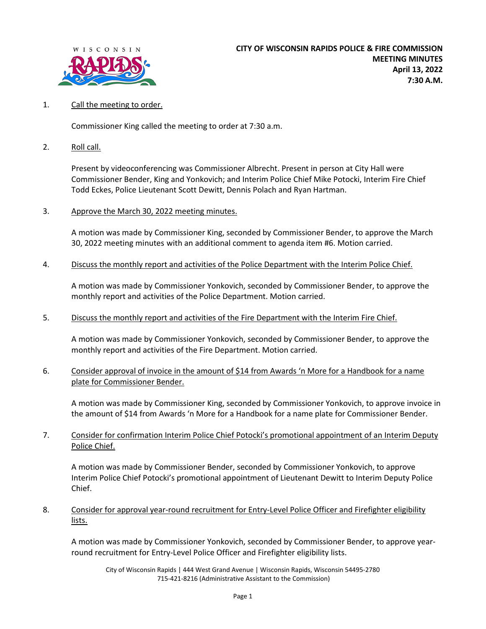

## 1. Call the meeting to order.

Commissioner King called the meeting to order at 7:30 a.m.

2. Roll call.

Present by videoconferencing was Commissioner Albrecht. Present in person at City Hall were Commissioner Bender, King and Yonkovich; and Interim Police Chief Mike Potocki, Interim Fire Chief Todd Eckes, Police Lieutenant Scott Dewitt, Dennis Polach and Ryan Hartman.

3. Approve the March 30, 2022 meeting minutes.

A motion was made by Commissioner King, seconded by Commissioner Bender, to approve the March 30, 2022 meeting minutes with an additional comment to agenda item #6. Motion carried.

4. Discuss the monthly report and activities of the Police Department with the Interim Police Chief.

A motion was made by Commissioner Yonkovich, seconded by Commissioner Bender, to approve the monthly report and activities of the Police Department. Motion carried.

5. Discuss the monthly report and activities of the Fire Department with the Interim Fire Chief.

A motion was made by Commissioner Yonkovich, seconded by Commissioner Bender, to approve the monthly report and activities of the Fire Department. Motion carried.

6. Consider approval of invoice in the amount of \$14 from Awards 'n More for a Handbook for a name plate for Commissioner Bender.

A motion was made by Commissioner King, seconded by Commissioner Yonkovich, to approve invoice in the amount of \$14 from Awards 'n More for a Handbook for a name plate for Commissioner Bender.

7. Consider for confirmation Interim Police Chief Potocki's promotional appointment of an Interim Deputy Police Chief.

A motion was made by Commissioner Bender, seconded by Commissioner Yonkovich, to approve Interim Police Chief Potocki's promotional appointment of Lieutenant Dewitt to Interim Deputy Police Chief.

8. Consider for approval year-round recruitment for Entry-Level Police Officer and Firefighter eligibility lists.

A motion was made by Commissioner Yonkovich, seconded by Commissioner Bender, to approve yearround recruitment for Entry-Level Police Officer and Firefighter eligibility lists.

City of Wisconsin Rapids | 444 West Grand Avenue | Wisconsin Rapids, Wisconsin 54495-2780 715-421-8216 (Administrative Assistant to the Commission)